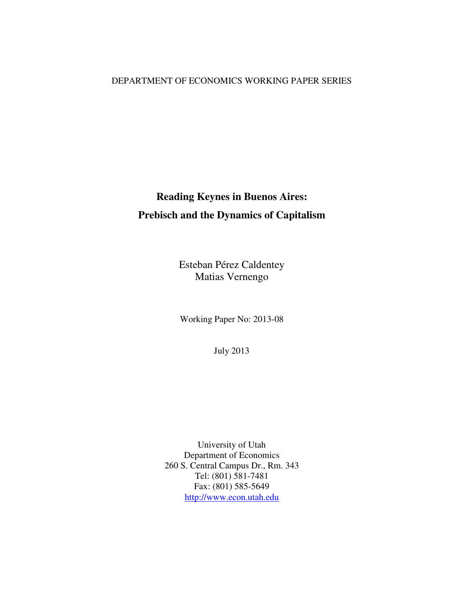## DEPARTMENT OF ECONOMICS WORKING PAPER SERIES

# **Reading Keynes in Buenos Aires: Prebisch and the Dynamics of Capitalism**

Esteban Pérez Caldentey Matias Vernengo

Working Paper No: 2013-08

July 2013

University of Utah Department of Economics 260 S. Central Campus Dr., Rm. 343 Tel: (801) 581-7481 Fax: (801) 585-5649 http://www.econ.utah.edu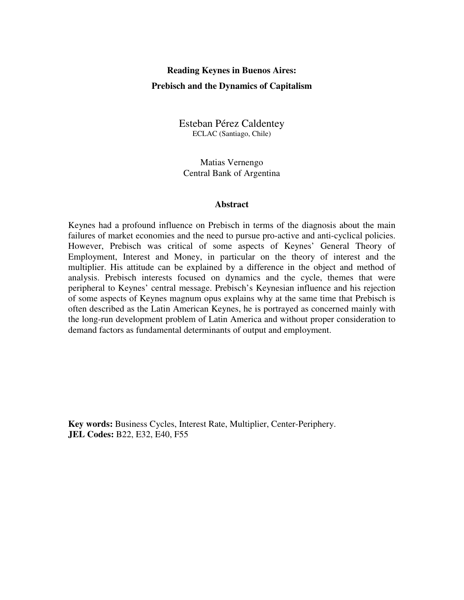# **Reading Keynes in Buenos Aires: Prebisch and the Dynamics of Capitalism**

Esteban Pérez Caldentey ECLAC (Santiago, Chile)

Matias Vernengo Central Bank of Argentina

#### **Abstract**

Keynes had a profound influence on Prebisch in terms of the diagnosis about the main failures of market economies and the need to pursue pro-active and anti-cyclical policies. However, Prebisch was critical of some aspects of Keynes' General Theory of Employment, Interest and Money, in particular on the theory of interest and the multiplier. His attitude can be explained by a difference in the object and method of analysis. Prebisch interests focused on dynamics and the cycle, themes that were peripheral to Keynes' central message. Prebisch's Keynesian influence and his rejection of some aspects of Keynes magnum opus explains why at the same time that Prebisch is often described as the Latin American Keynes, he is portrayed as concerned mainly with the long-run development problem of Latin America and without proper consideration to demand factors as fundamental determinants of output and employment.

**Key words:** Business Cycles, Interest Rate, Multiplier, Center-Periphery. **JEL Codes:** B22, E32, E40, F55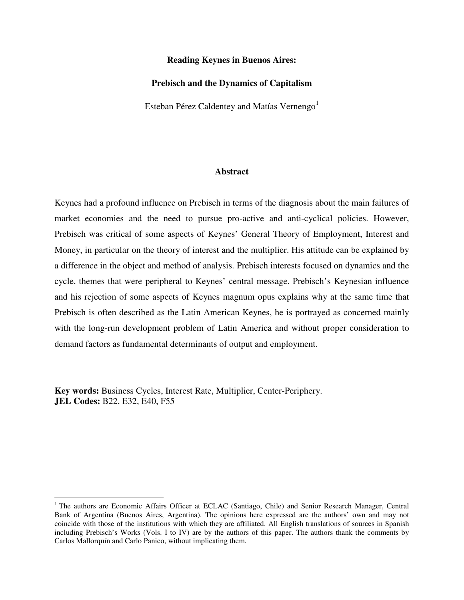#### **Reading Keynes in Buenos Aires:**

#### **Prebisch and the Dynamics of Capitalism**

Esteban Pérez Caldentey and Matías Vernengo<sup>1</sup>

#### **Abstract**

Keynes had a profound influence on Prebisch in terms of the diagnosis about the main failures of market economies and the need to pursue pro-active and anti-cyclical policies. However, Prebisch was critical of some aspects of Keynes' General Theory of Employment, Interest and Money, in particular on the theory of interest and the multiplier. His attitude can be explained by a difference in the object and method of analysis. Prebisch interests focused on dynamics and the cycle, themes that were peripheral to Keynes' central message. Prebisch's Keynesian influence and his rejection of some aspects of Keynes magnum opus explains why at the same time that Prebisch is often described as the Latin American Keynes, he is portrayed as concerned mainly with the long-run development problem of Latin America and without proper consideration to demand factors as fundamental determinants of output and employment.

**Key words:** Business Cycles, Interest Rate, Multiplier, Center-Periphery. **JEL Codes:** B22, E32, E40, F55

 $\overline{a}$ 

<sup>&</sup>lt;sup>1</sup> The authors are Economic Affairs Officer at ECLAC (Santiago, Chile) and Senior Research Manager, Central Bank of Argentina (Buenos Aires, Argentina). The opinions here expressed are the authors' own and may not coincide with those of the institutions with which they are affiliated. All English translations of sources in Spanish including Prebisch's Works (Vols. I to IV) are by the authors of this paper. The authors thank the comments by Carlos Mallorquín and Carlo Panico, without implicating them.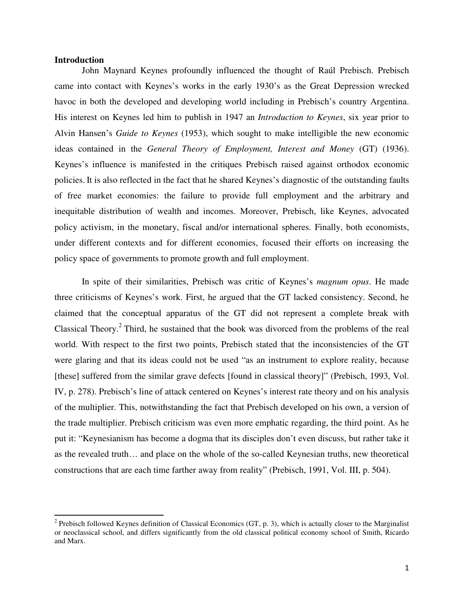### **Introduction**

l

John Maynard Keynes profoundly influenced the thought of Raúl Prebisch. Prebisch came into contact with Keynes's works in the early 1930's as the Great Depression wrecked havoc in both the developed and developing world including in Prebisch's country Argentina. His interest on Keynes led him to publish in 1947 an *Introduction to Keynes*, six year prior to Alvin Hansen's *Guide to Keynes* (1953), which sought to make intelligible the new economic ideas contained in the *General Theory of Employment, Interest and Money* (GT) (1936). Keynes's influence is manifested in the critiques Prebisch raised against orthodox economic policies. It is also reflected in the fact that he shared Keynes's diagnostic of the outstanding faults of free market economies: the failure to provide full employment and the arbitrary and inequitable distribution of wealth and incomes. Moreover, Prebisch, like Keynes, advocated policy activism, in the monetary, fiscal and/or international spheres. Finally, both economists, under different contexts and for different economies, focused their efforts on increasing the policy space of governments to promote growth and full employment.

In spite of their similarities, Prebisch was critic of Keynes's *magnum opus*. He made three criticisms of Keynes's work. First, he argued that the GT lacked consistency. Second, he claimed that the conceptual apparatus of the GT did not represent a complete break with Classical Theory. $2$  Third, he sustained that the book was divorced from the problems of the real world. With respect to the first two points, Prebisch stated that the inconsistencies of the GT were glaring and that its ideas could not be used "as an instrument to explore reality, because [these] suffered from the similar grave defects [found in classical theory]" (Prebisch, 1993, Vol. IV, p. 278). Prebisch's line of attack centered on Keynes's interest rate theory and on his analysis of the multiplier. This, notwithstanding the fact that Prebisch developed on his own, a version of the trade multiplier. Prebisch criticism was even more emphatic regarding, the third point. As he put it: "Keynesianism has become a dogma that its disciples don't even discuss, but rather take it as the revealed truth… and place on the whole of the so-called Keynesian truths, new theoretical constructions that are each time farther away from reality" (Prebisch, 1991, Vol. III, p. 504).

 $2$  Prebisch followed Keynes definition of Classical Economics (GT, p. 3), which is actually closer to the Marginalist or neoclassical school, and differs significantly from the old classical political economy school of Smith, Ricardo and Marx.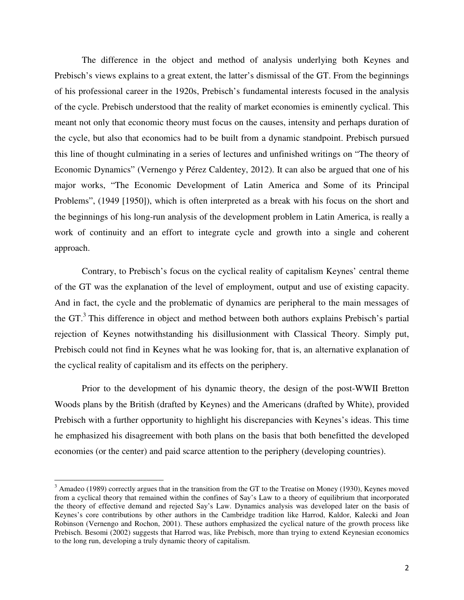The difference in the object and method of analysis underlying both Keynes and Prebisch's views explains to a great extent, the latter's dismissal of the GT. From the beginnings of his professional career in the 1920s, Prebisch's fundamental interests focused in the analysis of the cycle. Prebisch understood that the reality of market economies is eminently cyclical. This meant not only that economic theory must focus on the causes, intensity and perhaps duration of the cycle, but also that economics had to be built from a dynamic standpoint. Prebisch pursued this line of thought culminating in a series of lectures and unfinished writings on "The theory of Economic Dynamics" (Vernengo y Pérez Caldentey, 2012). It can also be argued that one of his major works, "The Economic Development of Latin America and Some of its Principal Problems", (1949 [1950]), which is often interpreted as a break with his focus on the short and the beginnings of his long-run analysis of the development problem in Latin America, is really a work of continuity and an effort to integrate cycle and growth into a single and coherent approach.

Contrary, to Prebisch's focus on the cyclical reality of capitalism Keynes' central theme of the GT was the explanation of the level of employment, output and use of existing capacity. And in fact, the cycle and the problematic of dynamics are peripheral to the main messages of the GT.<sup>3</sup> This difference in object and method between both authors explains Prebisch's partial rejection of Keynes notwithstanding his disillusionment with Classical Theory. Simply put, Prebisch could not find in Keynes what he was looking for, that is, an alternative explanation of the cyclical reality of capitalism and its effects on the periphery.

Prior to the development of his dynamic theory, the design of the post-WWII Bretton Woods plans by the British (drafted by Keynes) and the Americans (drafted by White), provided Prebisch with a further opportunity to highlight his discrepancies with Keynes's ideas. This time he emphasized his disagreement with both plans on the basis that both benefitted the developed economies (or the center) and paid scarce attention to the periphery (developing countries).

 $3$  Amadeo (1989) correctly argues that in the transition from the GT to the Treatise on Money (1930), Keynes moved from a cyclical theory that remained within the confines of Say's Law to a theory of equilibrium that incorporated the theory of effective demand and rejected Say's Law. Dynamics analysis was developed later on the basis of Keynes's core contributions by other authors in the Cambridge tradition like Harrod, Kaldor, Kalecki and Joan Robinson (Vernengo and Rochon, 2001). These authors emphasized the cyclical nature of the growth process like Prebisch. Besomi (2002) suggests that Harrod was, like Prebisch, more than trying to extend Keynesian economics to the long run, developing a truly dynamic theory of capitalism.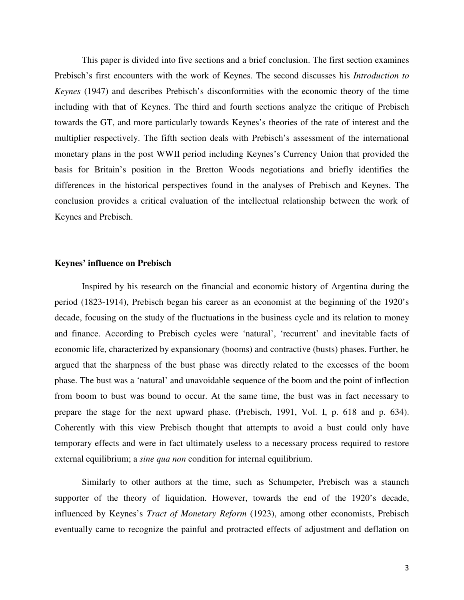This paper is divided into five sections and a brief conclusion. The first section examines Prebisch's first encounters with the work of Keynes. The second discusses his *Introduction to Keynes* (1947) and describes Prebisch's disconformities with the economic theory of the time including with that of Keynes. The third and fourth sections analyze the critique of Prebisch towards the GT, and more particularly towards Keynes's theories of the rate of interest and the multiplier respectively. The fifth section deals with Prebisch's assessment of the international monetary plans in the post WWII period including Keynes's Currency Union that provided the basis for Britain's position in the Bretton Woods negotiations and briefly identifies the differences in the historical perspectives found in the analyses of Prebisch and Keynes. The conclusion provides a critical evaluation of the intellectual relationship between the work of Keynes and Prebisch.

#### **Keynes' influence on Prebisch**

Inspired by his research on the financial and economic history of Argentina during the period (1823-1914), Prebisch began his career as an economist at the beginning of the 1920's decade, focusing on the study of the fluctuations in the business cycle and its relation to money and finance. According to Prebisch cycles were 'natural', 'recurrent' and inevitable facts of economic life, characterized by expansionary (booms) and contractive (busts) phases. Further, he argued that the sharpness of the bust phase was directly related to the excesses of the boom phase. The bust was a 'natural' and unavoidable sequence of the boom and the point of inflection from boom to bust was bound to occur. At the same time, the bust was in fact necessary to prepare the stage for the next upward phase. (Prebisch, 1991, Vol. I, p. 618 and p. 634). Coherently with this view Prebisch thought that attempts to avoid a bust could only have temporary effects and were in fact ultimately useless to a necessary process required to restore external equilibrium; a *sine qua non* condition for internal equilibrium.

Similarly to other authors at the time, such as Schumpeter, Prebisch was a staunch supporter of the theory of liquidation. However, towards the end of the 1920's decade, influenced by Keynes's *Tract of Monetary Reform* (1923), among other economists, Prebisch eventually came to recognize the painful and protracted effects of adjustment and deflation on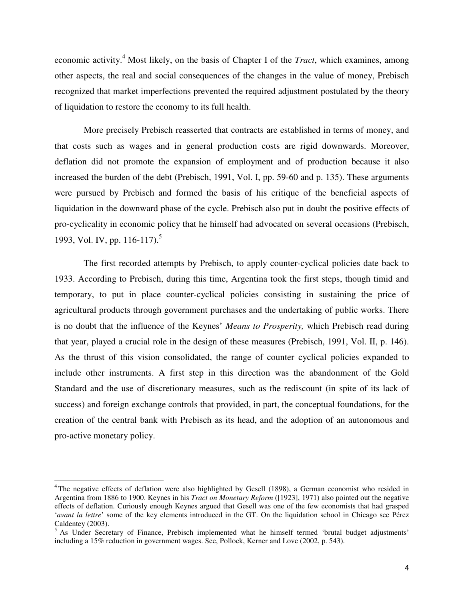economic activity.<sup>4</sup> Most likely, on the basis of Chapter I of the *Tract*, which examines, among other aspects, the real and social consequences of the changes in the value of money, Prebisch recognized that market imperfections prevented the required adjustment postulated by the theory of liquidation to restore the economy to its full health.

More precisely Prebisch reasserted that contracts are established in terms of money, and that costs such as wages and in general production costs are rigid downwards. Moreover, deflation did not promote the expansion of employment and of production because it also increased the burden of the debt (Prebisch, 1991, Vol. I, pp. 59-60 and p. 135). These arguments were pursued by Prebisch and formed the basis of his critique of the beneficial aspects of liquidation in the downward phase of the cycle. Prebisch also put in doubt the positive effects of pro-cyclicality in economic policy that he himself had advocated on several occasions (Prebisch, 1993, Vol. IV, pp. 116-117).<sup>5</sup>

The first recorded attempts by Prebisch, to apply counter-cyclical policies date back to 1933. According to Prebisch, during this time, Argentina took the first steps, though timid and temporary, to put in place counter-cyclical policies consisting in sustaining the price of agricultural products through government purchases and the undertaking of public works. There is no doubt that the influence of the Keynes' *Means to Prosperity,* which Prebisch read during that year, played a crucial role in the design of these measures (Prebisch, 1991, Vol. II, p. 146). As the thrust of this vision consolidated, the range of counter cyclical policies expanded to include other instruments. A first step in this direction was the abandonment of the Gold Standard and the use of discretionary measures, such as the rediscount (in spite of its lack of success) and foreign exchange controls that provided, in part, the conceptual foundations, for the creation of the central bank with Prebisch as its head, and the adoption of an autonomous and pro-active monetary policy.

<sup>&</sup>lt;sup>4</sup>The negative effects of deflation were also highlighted by Gesell (1898), a German economist who resided in Argentina from 1886 to 1900. Keynes in his *Tract on Monetary Reform* ([1923], 1971) also pointed out the negative effects of deflation. Curiously enough Keynes argued that Gesell was one of the few economists that had grasped '*avant la lettre*' some of the key elements introduced in the GT. On the liquidation school in Chicago see Pérez

Caldentey (2003).<br><sup>5</sup> As Under Secretary of Finance, Prebisch implemented what he himself termed 'brutal budget adjustments' including a 15% reduction in government wages. See, Pollock, Kerner and Love (2002, p. 543).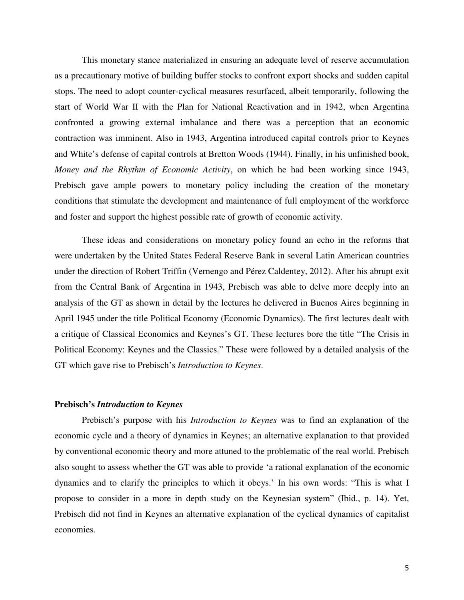This monetary stance materialized in ensuring an adequate level of reserve accumulation as a precautionary motive of building buffer stocks to confront export shocks and sudden capital stops. The need to adopt counter-cyclical measures resurfaced, albeit temporarily, following the start of World War II with the Plan for National Reactivation and in 1942, when Argentina confronted a growing external imbalance and there was a perception that an economic contraction was imminent. Also in 1943, Argentina introduced capital controls prior to Keynes and White's defense of capital controls at Bretton Woods (1944). Finally, in his unfinished book, *Money and the Rhythm of Economic Activity*, on which he had been working since 1943, Prebisch gave ample powers to monetary policy including the creation of the monetary conditions that stimulate the development and maintenance of full employment of the workforce and foster and support the highest possible rate of growth of economic activity.

These ideas and considerations on monetary policy found an echo in the reforms that were undertaken by the United States Federal Reserve Bank in several Latin American countries under the direction of Robert Triffin (Vernengo and Pérez Caldentey, 2012). After his abrupt exit from the Central Bank of Argentina in 1943, Prebisch was able to delve more deeply into an analysis of the GT as shown in detail by the lectures he delivered in Buenos Aires beginning in April 1945 under the title Political Economy (Economic Dynamics). The first lectures dealt with a critique of Classical Economics and Keynes's GT. These lectures bore the title "The Crisis in Political Economy: Keynes and the Classics." These were followed by a detailed analysis of the GT which gave rise to Prebisch's *Introduction to Keynes*.

#### **Prebisch's** *Introduction to Keynes*

Prebisch's purpose with his *Introduction to Keynes* was to find an explanation of the economic cycle and a theory of dynamics in Keynes; an alternative explanation to that provided by conventional economic theory and more attuned to the problematic of the real world. Prebisch also sought to assess whether the GT was able to provide 'a rational explanation of the economic dynamics and to clarify the principles to which it obeys.' In his own words: "This is what I propose to consider in a more in depth study on the Keynesian system" (Ibid., p. 14). Yet, Prebisch did not find in Keynes an alternative explanation of the cyclical dynamics of capitalist economies.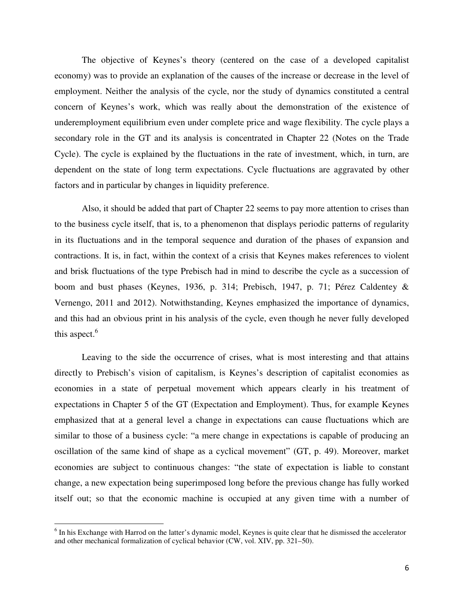The objective of Keynes's theory (centered on the case of a developed capitalist economy) was to provide an explanation of the causes of the increase or decrease in the level of employment. Neither the analysis of the cycle, nor the study of dynamics constituted a central concern of Keynes's work, which was really about the demonstration of the existence of underemployment equilibrium even under complete price and wage flexibility. The cycle plays a secondary role in the GT and its analysis is concentrated in Chapter 22 (Notes on the Trade Cycle). The cycle is explained by the fluctuations in the rate of investment, which, in turn, are dependent on the state of long term expectations. Cycle fluctuations are aggravated by other factors and in particular by changes in liquidity preference.

Also, it should be added that part of Chapter 22 seems to pay more attention to crises than to the business cycle itself, that is, to a phenomenon that displays periodic patterns of regularity in its fluctuations and in the temporal sequence and duration of the phases of expansion and contractions. It is, in fact, within the context of a crisis that Keynes makes references to violent and brisk fluctuations of the type Prebisch had in mind to describe the cycle as a succession of boom and bust phases (Keynes, 1936, p. 314; Prebisch, 1947, p. 71; Pérez Caldentey & Vernengo, 2011 and 2012). Notwithstanding, Keynes emphasized the importance of dynamics, and this had an obvious print in his analysis of the cycle, even though he never fully developed this aspect. $6$ 

Leaving to the side the occurrence of crises, what is most interesting and that attains directly to Prebisch's vision of capitalism, is Keynes's description of capitalist economies as economies in a state of perpetual movement which appears clearly in his treatment of expectations in Chapter 5 of the GT (Expectation and Employment). Thus, for example Keynes emphasized that at a general level a change in expectations can cause fluctuations which are similar to those of a business cycle: "a mere change in expectations is capable of producing an oscillation of the same kind of shape as a cyclical movement" (GT, p. 49). Moreover, market economies are subject to continuous changes: "the state of expectation is liable to constant change, a new expectation being superimposed long before the previous change has fully worked itself out; so that the economic machine is occupied at any given time with a number of

 $\overline{a}$ 

<sup>&</sup>lt;sup>6</sup> In his Exchange with Harrod on the latter's dynamic model, Keynes is quite clear that he dismissed the accelerator and other mechanical formalization of cyclical behavior (CW, vol. XIV, pp. 321–50).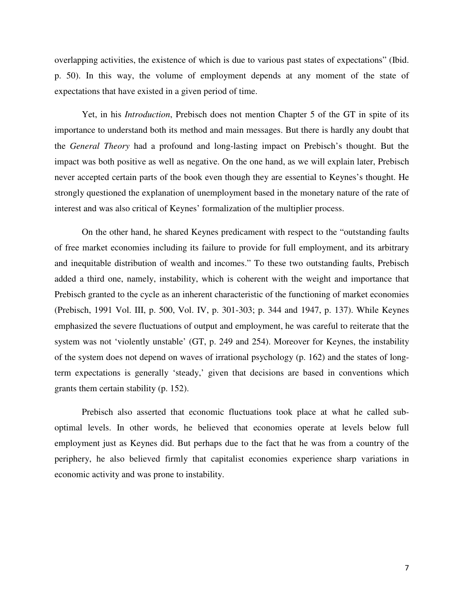overlapping activities, the existence of which is due to various past states of expectations" (Ibid. p. 50). In this way, the volume of employment depends at any moment of the state of expectations that have existed in a given period of time.

Yet, in his *Introduction*, Prebisch does not mention Chapter 5 of the GT in spite of its importance to understand both its method and main messages. But there is hardly any doubt that the *General Theory* had a profound and long-lasting impact on Prebisch's thought. But the impact was both positive as well as negative. On the one hand, as we will explain later, Prebisch never accepted certain parts of the book even though they are essential to Keynes's thought. He strongly questioned the explanation of unemployment based in the monetary nature of the rate of interest and was also critical of Keynes' formalization of the multiplier process.

On the other hand, he shared Keynes predicament with respect to the "outstanding faults of free market economies including its failure to provide for full employment, and its arbitrary and inequitable distribution of wealth and incomes." To these two outstanding faults, Prebisch added a third one, namely, instability, which is coherent with the weight and importance that Prebisch granted to the cycle as an inherent characteristic of the functioning of market economies (Prebisch, 1991 Vol. III, p. 500, Vol. IV, p. 301-303; p. 344 and 1947, p. 137). While Keynes emphasized the severe fluctuations of output and employment, he was careful to reiterate that the system was not 'violently unstable' (GT, p. 249 and 254). Moreover for Keynes, the instability of the system does not depend on waves of irrational psychology (p. 162) and the states of longterm expectations is generally 'steady,' given that decisions are based in conventions which grants them certain stability (p. 152).

Prebisch also asserted that economic fluctuations took place at what he called suboptimal levels. In other words, he believed that economies operate at levels below full employment just as Keynes did. But perhaps due to the fact that he was from a country of the periphery, he also believed firmly that capitalist economies experience sharp variations in economic activity and was prone to instability.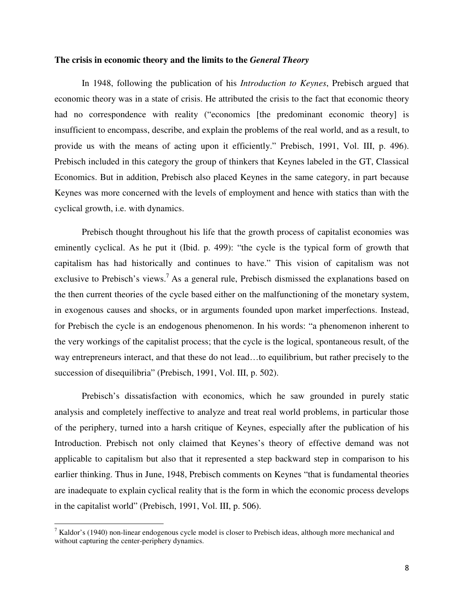#### **The crisis in economic theory and the limits to the** *General Theory*

In 1948, following the publication of his *Introduction to Keynes*, Prebisch argued that economic theory was in a state of crisis. He attributed the crisis to the fact that economic theory had no correspondence with reality ("economics [the predominant economic theory] is insufficient to encompass, describe, and explain the problems of the real world, and as a result, to provide us with the means of acting upon it efficiently." Prebisch, 1991, Vol. III, p. 496). Prebisch included in this category the group of thinkers that Keynes labeled in the GT, Classical Economics. But in addition, Prebisch also placed Keynes in the same category, in part because Keynes was more concerned with the levels of employment and hence with statics than with the cyclical growth, i.e. with dynamics.

Prebisch thought throughout his life that the growth process of capitalist economies was eminently cyclical. As he put it (Ibid. p. 499): "the cycle is the typical form of growth that capitalism has had historically and continues to have." This vision of capitalism was not exclusive to Prebisch's views.<sup>7</sup> As a general rule, Prebisch dismissed the explanations based on the then current theories of the cycle based either on the malfunctioning of the monetary system, in exogenous causes and shocks, or in arguments founded upon market imperfections. Instead, for Prebisch the cycle is an endogenous phenomenon. In his words: "a phenomenon inherent to the very workings of the capitalist process; that the cycle is the logical, spontaneous result, of the way entrepreneurs interact, and that these do not lead…to equilibrium, but rather precisely to the succession of disequilibria" (Prebisch, 1991, Vol. III, p. 502).

Prebisch's dissatisfaction with economics, which he saw grounded in purely static analysis and completely ineffective to analyze and treat real world problems, in particular those of the periphery, turned into a harsh critique of Keynes, especially after the publication of his Introduction. Prebisch not only claimed that Keynes's theory of effective demand was not applicable to capitalism but also that it represented a step backward step in comparison to his earlier thinking. Thus in June, 1948, Prebisch comments on Keynes "that is fundamental theories are inadequate to explain cyclical reality that is the form in which the economic process develops in the capitalist world" (Prebisch, 1991, Vol. III, p. 506).

 $\overline{a}$ 

 $<sup>7</sup>$  Kaldor's (1940) non-linear endogenous cycle model is closer to Prebisch ideas, although more mechanical and</sup> without capturing the center-periphery dynamics.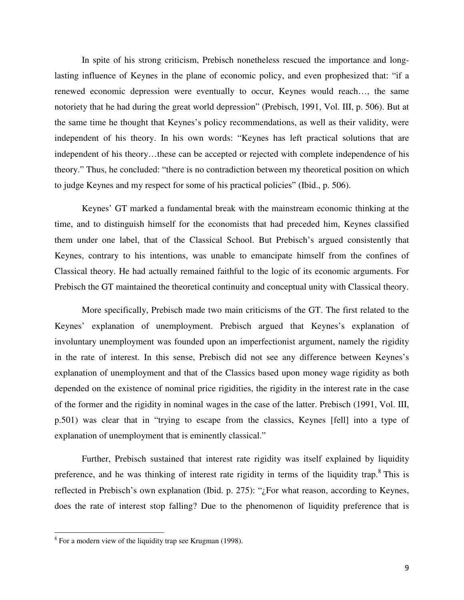In spite of his strong criticism, Prebisch nonetheless rescued the importance and longlasting influence of Keynes in the plane of economic policy, and even prophesized that: "if a renewed economic depression were eventually to occur, Keynes would reach…, the same notoriety that he had during the great world depression" (Prebisch, 1991, Vol. III, p. 506). But at the same time he thought that Keynes's policy recommendations, as well as their validity, were independent of his theory. In his own words: "Keynes has left practical solutions that are independent of his theory…these can be accepted or rejected with complete independence of his theory." Thus, he concluded: "there is no contradiction between my theoretical position on which to judge Keynes and my respect for some of his practical policies" (Ibid., p. 506).

Keynes' GT marked a fundamental break with the mainstream economic thinking at the time, and to distinguish himself for the economists that had preceded him, Keynes classified them under one label, that of the Classical School. But Prebisch's argued consistently that Keynes, contrary to his intentions, was unable to emancipate himself from the confines of Classical theory. He had actually remained faithful to the logic of its economic arguments. For Prebisch the GT maintained the theoretical continuity and conceptual unity with Classical theory.

More specifically, Prebisch made two main criticisms of the GT. The first related to the Keynes' explanation of unemployment. Prebisch argued that Keynes's explanation of involuntary unemployment was founded upon an imperfectionist argument, namely the rigidity in the rate of interest. In this sense, Prebisch did not see any difference between Keynes's explanation of unemployment and that of the Classics based upon money wage rigidity as both depended on the existence of nominal price rigidities, the rigidity in the interest rate in the case of the former and the rigidity in nominal wages in the case of the latter. Prebisch (1991, Vol. III, p.501) was clear that in "trying to escape from the classics, Keynes [fell] into a type of explanation of unemployment that is eminently classical."

Further, Prebisch sustained that interest rate rigidity was itself explained by liquidity preference, and he was thinking of interest rate rigidity in terms of the liquidity trap.<sup>8</sup> This is reflected in Prebisch's own explanation (Ibid. p. 275): "¿For what reason, according to Keynes, does the rate of interest stop falling? Due to the phenomenon of liquidity preference that is

 $8$  For a modern view of the liquidity trap see Krugman (1998).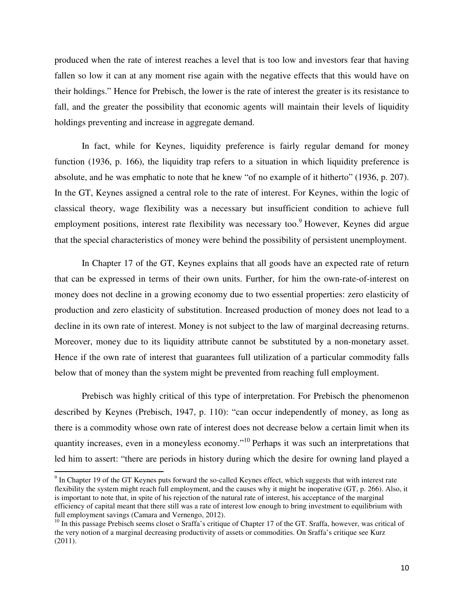produced when the rate of interest reaches a level that is too low and investors fear that having fallen so low it can at any moment rise again with the negative effects that this would have on their holdings." Hence for Prebisch, the lower is the rate of interest the greater is its resistance to fall, and the greater the possibility that economic agents will maintain their levels of liquidity holdings preventing and increase in aggregate demand.

In fact, while for Keynes, liquidity preference is fairly regular demand for money function (1936, p. 166), the liquidity trap refers to a situation in which liquidity preference is absolute, and he was emphatic to note that he knew "of no example of it hitherto" (1936, p. 207). In the GT, Keynes assigned a central role to the rate of interest. For Keynes, within the logic of classical theory, wage flexibility was a necessary but insufficient condition to achieve full employment positions, interest rate flexibility was necessary too.<sup>9</sup> However, Keynes did argue that the special characteristics of money were behind the possibility of persistent unemployment.

In Chapter 17 of the GT, Keynes explains that all goods have an expected rate of return that can be expressed in terms of their own units. Further, for him the own-rate-of-interest on money does not decline in a growing economy due to two essential properties: zero elasticity of production and zero elasticity of substitution. Increased production of money does not lead to a decline in its own rate of interest. Money is not subject to the law of marginal decreasing returns. Moreover, money due to its liquidity attribute cannot be substituted by a non-monetary asset. Hence if the own rate of interest that guarantees full utilization of a particular commodity falls below that of money than the system might be prevented from reaching full employment.

Prebisch was highly critical of this type of interpretation. For Prebisch the phenomenon described by Keynes (Prebisch, 1947, p. 110): "can occur independently of money, as long as there is a commodity whose own rate of interest does not decrease below a certain limit when its quantity increases, even in a moneyless economy."<sup>10</sup> Perhaps it was such an interpretations that led him to assert: "there are periods in history during which the desire for owning land played a

 $\overline{a}$ 

 $9$  In Chapter 19 of the GT Keynes puts forward the so-called Keynes effect, which suggests that with interest rate flexibility the system might reach full employment, and the causes why it might be inoperative (GT, p. 266). Also, it is important to note that, in spite of his rejection of the natural rate of interest, his acceptance of the marginal efficiency of capital meant that there still was a rate of interest low enough to bring investment to equilibrium with full employment savings (Camara and Vernengo, 2012).

 $10$  In this passage Prebisch seems closet o Sraffa's critique of Chapter 17 of the GT. Sraffa, however, was critical of the very notion of a marginal decreasing productivity of assets or commodities. On Sraffa's critique see Kurz (2011).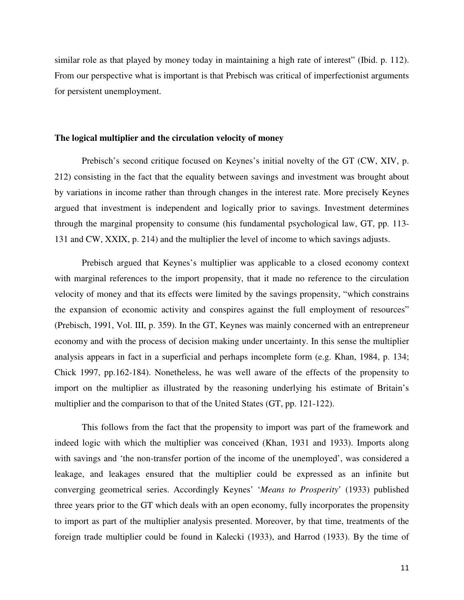similar role as that played by money today in maintaining a high rate of interest" (Ibid. p. 112). From our perspective what is important is that Prebisch was critical of imperfectionist arguments for persistent unemployment.

#### **The logical multiplier and the circulation velocity of money**

Prebisch's second critique focused on Keynes's initial novelty of the GT (CW, XIV, p. 212) consisting in the fact that the equality between savings and investment was brought about by variations in income rather than through changes in the interest rate. More precisely Keynes argued that investment is independent and logically prior to savings. Investment determines through the marginal propensity to consume (his fundamental psychological law, GT, pp. 113- 131 and CW, XXIX, p. 214) and the multiplier the level of income to which savings adjusts.

Prebisch argued that Keynes's multiplier was applicable to a closed economy context with marginal references to the import propensity, that it made no reference to the circulation velocity of money and that its effects were limited by the savings propensity, "which constrains the expansion of economic activity and conspires against the full employment of resources" (Prebisch, 1991, Vol. III, p. 359). In the GT, Keynes was mainly concerned with an entrepreneur economy and with the process of decision making under uncertainty. In this sense the multiplier analysis appears in fact in a superficial and perhaps incomplete form (e.g. Khan, 1984, p. 134; Chick 1997, pp.162-184). Nonetheless, he was well aware of the effects of the propensity to import on the multiplier as illustrated by the reasoning underlying his estimate of Britain's multiplier and the comparison to that of the United States (GT, pp. 121-122).

This follows from the fact that the propensity to import was part of the framework and indeed logic with which the multiplier was conceived (Khan, 1931 and 1933). Imports along with savings and 'the non-transfer portion of the income of the unemployed', was considered a leakage, and leakages ensured that the multiplier could be expressed as an infinite but converging geometrical series. Accordingly Keynes' '*Means to Prosperity*' (1933) published three years prior to the GT which deals with an open economy, fully incorporates the propensity to import as part of the multiplier analysis presented. Moreover, by that time, treatments of the foreign trade multiplier could be found in Kalecki (1933), and Harrod (1933). By the time of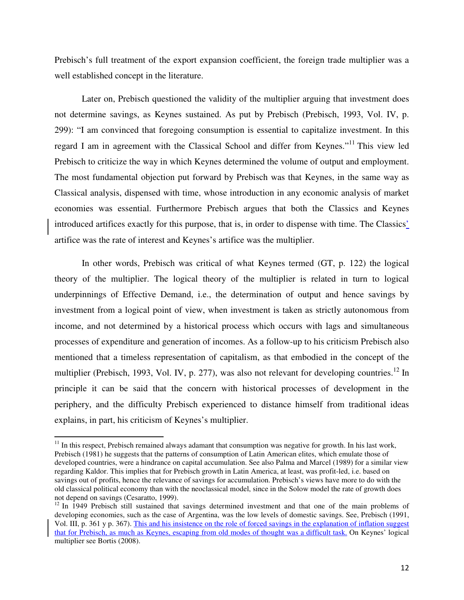Prebisch's full treatment of the export expansion coefficient, the foreign trade multiplier was a well established concept in the literature.

Later on, Prebisch questioned the validity of the multiplier arguing that investment does not determine savings, as Keynes sustained. As put by Prebisch (Prebisch, 1993, Vol. IV, p. 299): "I am convinced that foregoing consumption is essential to capitalize investment. In this regard I am in agreement with the Classical School and differ from Keynes."<sup>11</sup> This view led Prebisch to criticize the way in which Keynes determined the volume of output and employment. The most fundamental objection put forward by Prebisch was that Keynes, in the same way as Classical analysis, dispensed with time, whose introduction in any economic analysis of market economies was essential. Furthermore Prebisch argues that both the Classics and Keynes introduced artifices exactly for this purpose, that is, in order to dispense with time. The Classics' artifice was the rate of interest and Keynes's artifice was the multiplier.

In other words, Prebisch was critical of what Keynes termed (GT, p. 122) the logical theory of the multiplier. The logical theory of the multiplier is related in turn to logical underpinnings of Effective Demand, i.e., the determination of output and hence savings by investment from a logical point of view, when investment is taken as strictly autonomous from income, and not determined by a historical process which occurs with lags and simultaneous processes of expenditure and generation of incomes. As a follow-up to his criticism Prebisch also mentioned that a timeless representation of capitalism, as that embodied in the concept of the multiplier (Prebisch, 1993, Vol. IV, p. 277), was also not relevant for developing countries.<sup>12</sup> In principle it can be said that the concern with historical processes of development in the periphery, and the difficulty Prebisch experienced to distance himself from traditional ideas explains, in part, his criticism of Keynes's multiplier.

 $11$  In this respect, Prebisch remained always adamant that consumption was negative for growth. In his last work, Prebisch (1981) he suggests that the patterns of consumption of Latin American elites, which emulate those of developed countries, were a hindrance on capital accumulation. See also Palma and Marcel (1989) for a similar view regarding Kaldor. This implies that for Prebisch growth in Latin America, at least, was profit-led, i.e. based on savings out of profits, hence the relevance of savings for accumulation. Prebisch's views have more to do with the old classical political economy than with the neoclassical model, since in the Solow model the rate of growth does not depend on savings (Cesaratto, 1999).

<sup>&</sup>lt;sup>12</sup> In 1949 Prebisch still sustained that savings determined investment and that one of the main problems of developing economies, such as the case of Argentina, was the low levels of domestic savings. See, Prebisch (1991, Vol. III, p. 361 y p. 367). This and his insistence on the role of forced savings in the explanation of inflation suggest that for Prebisch, as much as Keynes, escaping from old modes of thought was a difficult task. On Keynes' logical multiplier see Bortis (2008).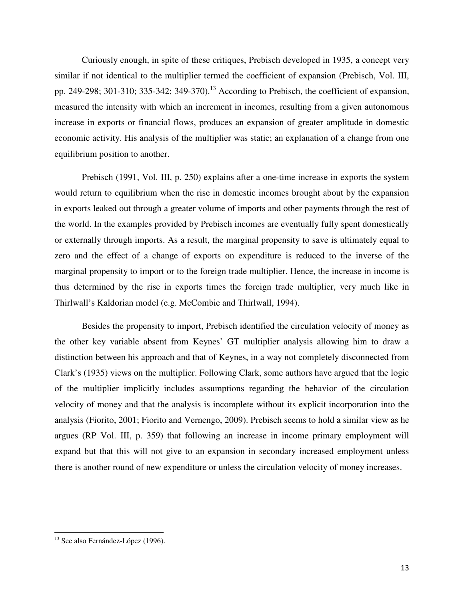Curiously enough, in spite of these critiques, Prebisch developed in 1935, a concept very similar if not identical to the multiplier termed the coefficient of expansion (Prebisch, Vol. III, pp. 249-298; 301-310; 335-342; 349-370).<sup>13</sup> According to Prebisch, the coefficient of expansion, measured the intensity with which an increment in incomes, resulting from a given autonomous increase in exports or financial flows, produces an expansion of greater amplitude in domestic economic activity. His analysis of the multiplier was static; an explanation of a change from one equilibrium position to another.

Prebisch (1991, Vol. III, p. 250) explains after a one-time increase in exports the system would return to equilibrium when the rise in domestic incomes brought about by the expansion in exports leaked out through a greater volume of imports and other payments through the rest of the world. In the examples provided by Prebisch incomes are eventually fully spent domestically or externally through imports. As a result, the marginal propensity to save is ultimately equal to zero and the effect of a change of exports on expenditure is reduced to the inverse of the marginal propensity to import or to the foreign trade multiplier. Hence, the increase in income is thus determined by the rise in exports times the foreign trade multiplier, very much like in Thirlwall's Kaldorian model (e.g. McCombie and Thirlwall, 1994).

Besides the propensity to import, Prebisch identified the circulation velocity of money as the other key variable absent from Keynes' GT multiplier analysis allowing him to draw a distinction between his approach and that of Keynes, in a way not completely disconnected from Clark's (1935) views on the multiplier. Following Clark, some authors have argued that the logic of the multiplier implicitly includes assumptions regarding the behavior of the circulation velocity of money and that the analysis is incomplete without its explicit incorporation into the analysis (Fiorito, 2001; Fiorito and Vernengo, 2009). Prebisch seems to hold a similar view as he argues (RP Vol. III, p. 359) that following an increase in income primary employment will expand but that this will not give to an expansion in secondary increased employment unless there is another round of new expenditure or unless the circulation velocity of money increases.

<sup>&</sup>lt;sup>13</sup> See also Fernández-López (1996).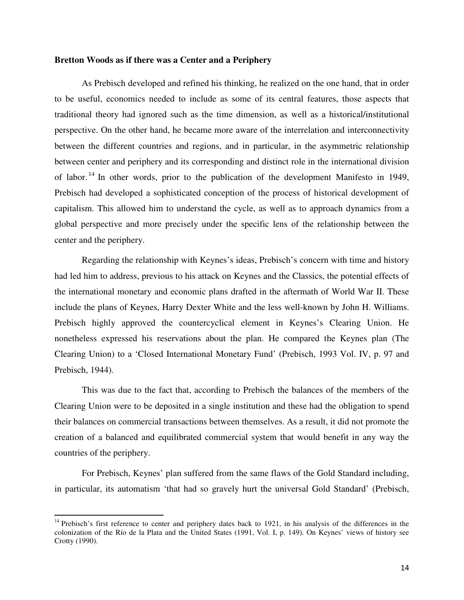#### **Bretton Woods as if there was a Center and a Periphery**

As Prebisch developed and refined his thinking, he realized on the one hand, that in order to be useful, economics needed to include as some of its central features, those aspects that traditional theory had ignored such as the time dimension, as well as a historical/institutional perspective. On the other hand, he became more aware of the interrelation and interconnectivity between the different countries and regions, and in particular, in the asymmetric relationship between center and periphery and its corresponding and distinct role in the international division of labor.<sup>14</sup> In other words, prior to the publication of the development Manifesto in 1949, Prebisch had developed a sophisticated conception of the process of historical development of capitalism. This allowed him to understand the cycle, as well as to approach dynamics from a global perspective and more precisely under the specific lens of the relationship between the center and the periphery.

Regarding the relationship with Keynes's ideas, Prebisch's concern with time and history had led him to address, previous to his attack on Keynes and the Classics, the potential effects of the international monetary and economic plans drafted in the aftermath of World War II. These include the plans of Keynes, Harry Dexter White and the less well-known by John H. Williams. Prebisch highly approved the countercyclical element in Keynes's Clearing Union. He nonetheless expressed his reservations about the plan. He compared the Keynes plan (The Clearing Union) to a 'Closed International Monetary Fund' (Prebisch, 1993 Vol. IV, p. 97 and Prebisch, 1944).

This was due to the fact that, according to Prebisch the balances of the members of the Clearing Union were to be deposited in a single institution and these had the obligation to spend their balances on commercial transactions between themselves. As a result, it did not promote the creation of a balanced and equilibrated commercial system that would benefit in any way the countries of the periphery.

For Prebisch, Keynes' plan suffered from the same flaws of the Gold Standard including, in particular, its automatism 'that had so gravely hurt the universal Gold Standard' (Prebisch,

 $14$  Prebisch's first reference to center and periphery dates back to 1921, in his analysis of the differences in the colonization of the Río de la Plata and the United States (1991, Vol. I, p. 149). On Keynes' views of history see Crotty (1990).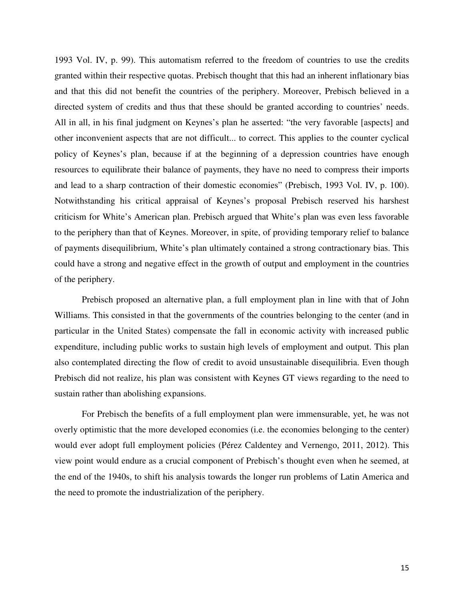1993 Vol. IV, p. 99). This automatism referred to the freedom of countries to use the credits granted within their respective quotas. Prebisch thought that this had an inherent inflationary bias and that this did not benefit the countries of the periphery. Moreover, Prebisch believed in a directed system of credits and thus that these should be granted according to countries' needs. All in all, in his final judgment on Keynes's plan he asserted: "the very favorable [aspects] and other inconvenient aspects that are not difficult... to correct. This applies to the counter cyclical policy of Keynes's plan, because if at the beginning of a depression countries have enough resources to equilibrate their balance of payments, they have no need to compress their imports and lead to a sharp contraction of their domestic economies" (Prebisch, 1993 Vol. IV, p. 100). Notwithstanding his critical appraisal of Keynes's proposal Prebisch reserved his harshest criticism for White's American plan. Prebisch argued that White's plan was even less favorable to the periphery than that of Keynes. Moreover, in spite, of providing temporary relief to balance of payments disequilibrium, White's plan ultimately contained a strong contractionary bias. This could have a strong and negative effect in the growth of output and employment in the countries of the periphery.

Prebisch proposed an alternative plan, a full employment plan in line with that of John Williams. This consisted in that the governments of the countries belonging to the center (and in particular in the United States) compensate the fall in economic activity with increased public expenditure, including public works to sustain high levels of employment and output. This plan also contemplated directing the flow of credit to avoid unsustainable disequilibria. Even though Prebisch did not realize, his plan was consistent with Keynes GT views regarding to the need to sustain rather than abolishing expansions.

For Prebisch the benefits of a full employment plan were immensurable, yet, he was not overly optimistic that the more developed economies (i.e. the economies belonging to the center) would ever adopt full employment policies (Pérez Caldentey and Vernengo, 2011, 2012). This view point would endure as a crucial component of Prebisch's thought even when he seemed, at the end of the 1940s, to shift his analysis towards the longer run problems of Latin America and the need to promote the industrialization of the periphery.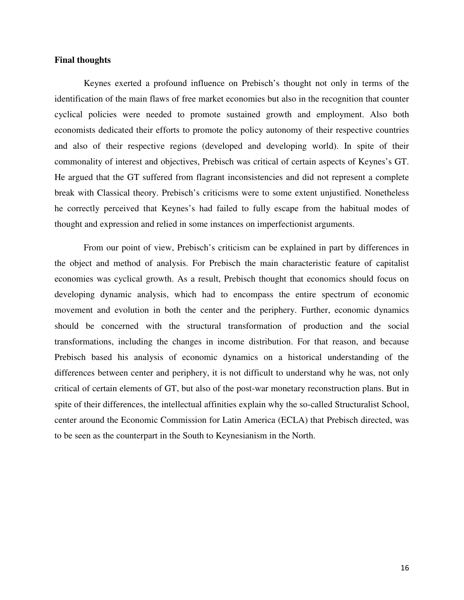#### **Final thoughts**

Keynes exerted a profound influence on Prebisch's thought not only in terms of the identification of the main flaws of free market economies but also in the recognition that counter cyclical policies were needed to promote sustained growth and employment. Also both economists dedicated their efforts to promote the policy autonomy of their respective countries and also of their respective regions (developed and developing world). In spite of their commonality of interest and objectives, Prebisch was critical of certain aspects of Keynes's GT. He argued that the GT suffered from flagrant inconsistencies and did not represent a complete break with Classical theory. Prebisch's criticisms were to some extent unjustified. Nonetheless he correctly perceived that Keynes's had failed to fully escape from the habitual modes of thought and expression and relied in some instances on imperfectionist arguments.

From our point of view, Prebisch's criticism can be explained in part by differences in the object and method of analysis. For Prebisch the main characteristic feature of capitalist economies was cyclical growth. As a result, Prebisch thought that economics should focus on developing dynamic analysis, which had to encompass the entire spectrum of economic movement and evolution in both the center and the periphery. Further, economic dynamics should be concerned with the structural transformation of production and the social transformations, including the changes in income distribution. For that reason, and because Prebisch based his analysis of economic dynamics on a historical understanding of the differences between center and periphery, it is not difficult to understand why he was, not only critical of certain elements of GT, but also of the post-war monetary reconstruction plans. But in spite of their differences, the intellectual affinities explain why the so-called Structuralist School, center around the Economic Commission for Latin America (ECLA) that Prebisch directed, was to be seen as the counterpart in the South to Keynesianism in the North.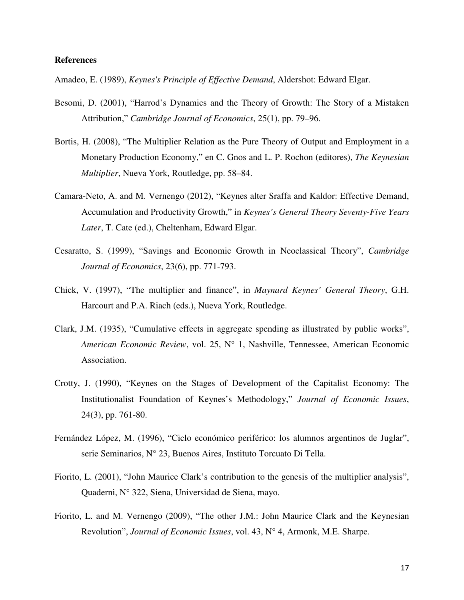#### **References**

Amadeo, E. (1989), *Keynes's Principle of Effective Demand*, Aldershot: Edward Elgar.

- Besomi, D. (2001), "Harrod's Dynamics and the Theory of Growth: The Story of a Mistaken Attribution," *Cambridge Journal of Economics*, 25(1), pp. 79–96.
- Bortis, H. (2008), "The Multiplier Relation as the Pure Theory of Output and Employment in a Monetary Production Economy," en C. Gnos and L. P. Rochon (editores), *The Keynesian Multiplier*, Nueva York, Routledge, pp. 58–84.
- Camara-Neto, A. and M. Vernengo (2012), "Keynes alter Sraffa and Kaldor: Effective Demand, Accumulation and Productivity Growth," in *Keynes's General Theory Seventy-Five Years Later*, T. Cate (ed.), Cheltenham, Edward Elgar.
- Cesaratto, S. (1999), "Savings and Economic Growth in Neoclassical Theory", *Cambridge Journal of Economics*, 23(6), pp. 771-793.
- Chick, V. (1997), "The multiplier and finance", in *Maynard Keynes' General Theory*, G.H. Harcourt and P.A. Riach (eds.), Nueva York, Routledge.
- Clark, J.M. (1935), "Cumulative effects in aggregate spending as illustrated by public works", *American Economic Review*, vol. 25, N° 1, Nashville, Tennessee, American Economic Association.
- Crotty, J. (1990), "Keynes on the Stages of Development of the Capitalist Economy: The Institutionalist Foundation of Keynes's Methodology," *Journal of Economic Issues*, 24(3), pp. 761-80.
- Fernández López, M. (1996), "Ciclo económico periférico: los alumnos argentinos de Juglar", serie Seminarios, N° 23, Buenos Aires, Instituto Torcuato Di Tella.
- Fiorito, L. (2001), "John Maurice Clark's contribution to the genesis of the multiplier analysis", Quaderni, N° 322, Siena, Universidad de Siena, mayo.
- Fiorito, L. and M. Vernengo (2009), "The other J.M.: John Maurice Clark and the Keynesian Revolution", *Journal of Economic Issues*, vol. 43, N° 4, Armonk, M.E. Sharpe.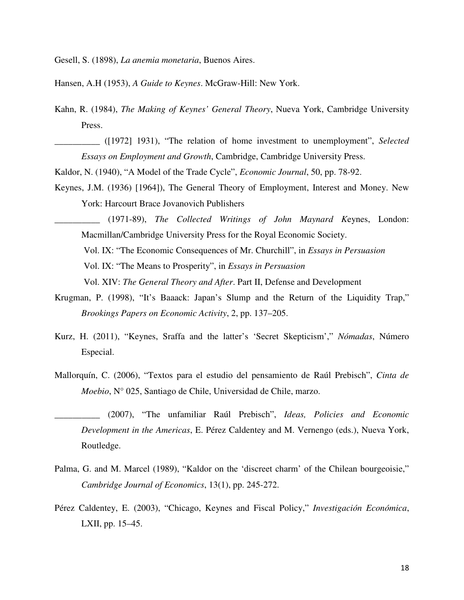Gesell, S. (1898), *La anemia monetaria*, Buenos Aires.

Hansen, A.H (1953), *A Guide to Keynes*. McGraw-Hill: New York.

- Kahn, R. (1984), *The Making of Keynes' General Theory*, Nueva York, Cambridge University Press.
- \_\_\_\_\_\_\_\_\_\_ ([1972] 1931), "The relation of home investment to unemployment", *Selected Essays on Employment and Growth*, Cambridge, Cambridge University Press.
- Kaldor, N. (1940), "A Model of the Trade Cycle", *Economic Journal*, 50, pp. 78-92.
- Keynes, J.M. (1936) [1964]), The General Theory of Employment, Interest and Money. New York: Harcourt Brace Jovanovich Publishers

\_\_\_\_\_\_\_\_\_\_ (1971-89), *The Collected Writings of John Maynard K*eynes, London: Macmillan/Cambridge University Press for the Royal Economic Society. Vol. IX: "The Economic Consequences of Mr. Churchill", in *Essays in Persuasion* Vol. IX: "The Means to Prosperity", in *Essays in Persuasion* Vol. XIV: *The General Theory and After*. Part II, Defense and Development

- Krugman, P. (1998), "It's Baaack: Japan's Slump and the Return of the Liquidity Trap," *Brookings Papers on Economic Activity*, 2, pp. 137–205.
- Kurz, H. (2011), "Keynes, Sraffa and the latter's 'Secret Skepticism'," *Nómadas*, Número Especial.
- Mallorquín, C. (2006), "Textos para el estudio del pensamiento de Raúl Prebisch", *Cinta de Moebio*, N° 025, Santiago de Chile, Universidad de Chile, marzo.
- \_\_\_\_\_\_\_\_\_\_ (2007), "The unfamiliar Raúl Prebisch", *Ideas, Policies and Economic Development in the Americas*, E. Pérez Caldentey and M. Vernengo (eds.), Nueva York, Routledge.
- Palma, G. and M. Marcel (1989), "Kaldor on the 'discreet charm' of the Chilean bourgeoisie," *Cambridge Journal of Economics*, 13(1), pp. 245-272.
- Pérez Caldentey, E. (2003), "Chicago, Keynes and Fiscal Policy," *Investigación Económica*, LXII, pp. 15–45.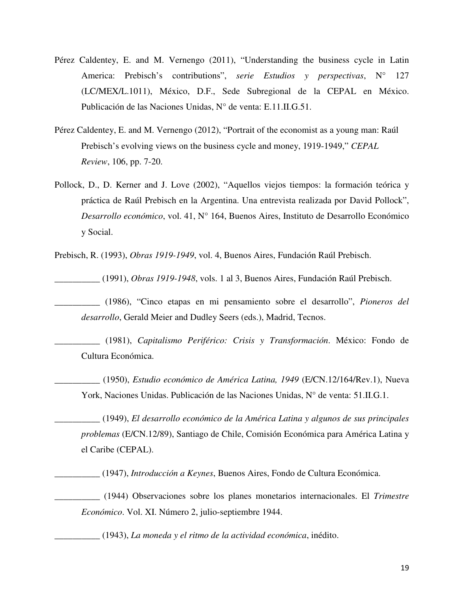- Pérez Caldentey, E. and M. Vernengo (2011), "Understanding the business cycle in Latin America: Prebisch's contributions", *serie Estudios* y *perspectivas*, N° 127 (LC/MEX/L.1011), México, D.F., Sede Subregional de la CEPAL en México. Publicación de las Naciones Unidas, N° de venta: E.11.II.G.51.
- Pérez Caldentey, E. and M. Vernengo (2012), "Portrait of the economist as a young man: Raúl Prebisch's evolving views on the business cycle and money, 1919-1949," *CEPAL Review*, 106, pp. 7-20.
- Pollock, D., D. Kerner and J. Love (2002), "Aquellos viejos tiempos: la formación teórica y práctica de Raúl Prebisch en la Argentina. Una entrevista realizada por David Pollock", *Desarrollo económico*, vol. 41, N° 164, Buenos Aires, Instituto de Desarrollo Económico y Social.

Prebisch, R. (1993), *Obras 1919-1949*, vol. 4, Buenos Aires, Fundación Raúl Prebisch.

\_\_\_\_\_\_\_\_\_\_ (1991), *Obras 1919-1948*, vols. 1 al 3, Buenos Aires, Fundación Raúl Prebisch.

\_\_\_\_\_\_\_\_\_\_ (1986), "Cinco etapas en mi pensamiento sobre el desarrollo", *Pioneros del desarrollo*, Gerald Meier and Dudley Seers (eds.), Madrid, Tecnos.

\_\_\_\_\_\_\_\_\_\_ (1981), *Capitalismo Periférico: Crisis y Transformación*. México: Fondo de Cultura Económica.

\_\_\_\_\_\_\_\_\_\_ (1950), *Estudio económico de América Latina, 1949* (E/CN.12/164/Rev.1), Nueva York, Naciones Unidas. Publicación de las Naciones Unidas, N° de venta: 51.II.G.1.

\_\_\_\_\_\_\_\_\_\_ (1949), *El desarrollo económico de la América Latina y algunos de sus principales problemas* (E/CN.12/89), Santiago de Chile, Comisión Económica para América Latina y el Caribe (CEPAL).

\_\_\_\_\_\_\_\_\_\_ (1947), *Introducción a Keynes*, Buenos Aires, Fondo de Cultura Económica.

\_\_\_\_\_\_\_\_\_\_ (1944) Observaciones sobre los planes monetarios internacionales. El *Trimestre Económico*. Vol. XI. Número 2, julio-septiembre 1944.

\_\_\_\_\_\_\_\_\_\_ (1943), *La moneda y el ritmo de la actividad económica*, inédito.